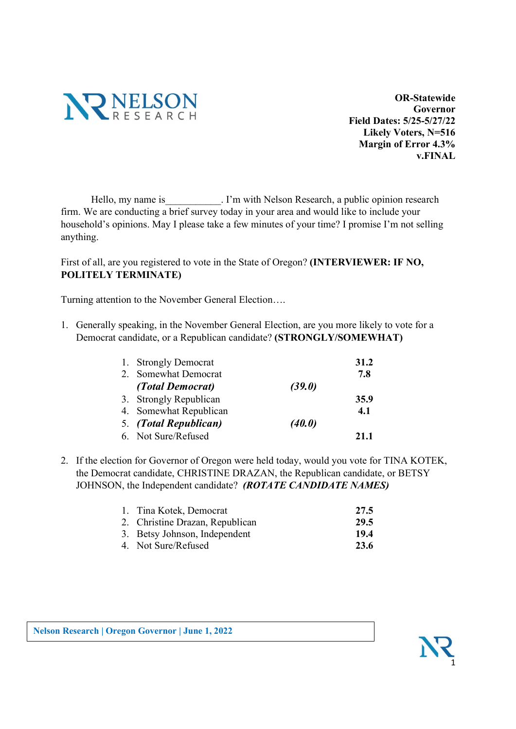

OR-Statewide Governor Field Dates: 5/25-5/27/22 Likely Voters, N=516 Margin of Error 4.3% v.FINAL

Hello, my name is T'm with Nelson Research, a public opinion research firm. We are conducting a brief survey today in your area and would like to include your household's opinions. May I please take a few minutes of your time? I promise I'm not selling anything.

## First of all, are you registered to vote in the State of Oregon? (INTERVIEWER: IF NO, POLITELY TERMINATE)

Turning attention to the November General Election….

1. Generally speaking, in the November General Election, are you more likely to vote for a Democrat candidate, or a Republican candidate? (STRONGLY/SOMEWHAT)

| 1. Strongly Democrat   |        | 31.2 |
|------------------------|--------|------|
| 2. Somewhat Democrat   |        | 7.8  |
| (Total Democrat)       | (39.0) |      |
| 3. Strongly Republican |        | 35.9 |
| 4. Somewhat Republican |        | 4.1  |
| 5. (Total Republican)  | (40.0) |      |
| 6. Not Sure/Refused    |        | 21.1 |

2. If the election for Governor of Oregon were held today, would you vote for TINA KOTEK, the Democrat candidate, CHRISTINE DRAZAN, the Republican candidate, or BETSY JOHNSON, the Independent candidate? (ROTATE CANDIDATE NAMES)

| 1. Tina Kotek, Democrat         | 27.5 |  |
|---------------------------------|------|--|
| 2. Christine Drazan, Republican | 29.5 |  |
| 3. Betsy Johnson, Independent   | 19.4 |  |
| 4. Not Sure/Refused             | 23.6 |  |

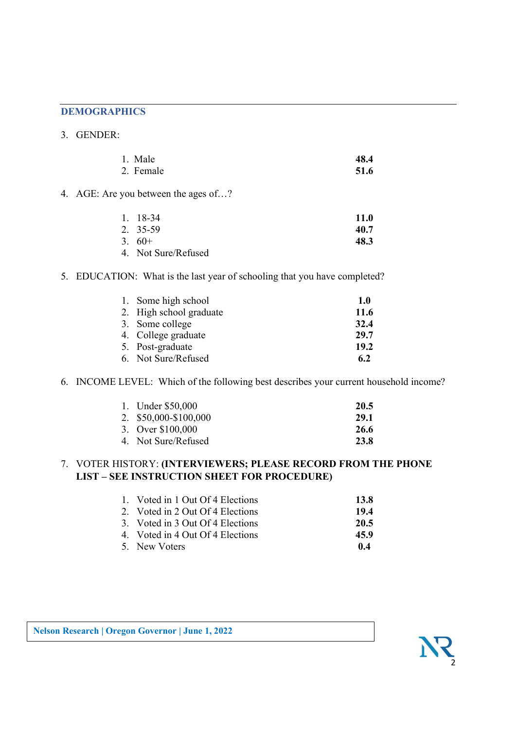## **DEMOGRAPHICS**

#### 3. GENDER:

| 1. Male    | 48.4            |
|------------|-----------------|
| $2$ Famala | 51 <sub>6</sub> |

2. Female 51.6 51.6 2. Female 51.6 51.6 51.6 4. AGE: Are you between the ages of…?

| $1. \quad 18-34$    | 11.0 |
|---------------------|------|
| 2. 35-59            | 40.7 |
| $3.60+$             | 48.3 |
| 4. Not Sure/Refused |      |

5. EDUCATION: What is the last year of schooling that you have completed?

| 1. Some high school     | 1.0  |
|-------------------------|------|
| 2. High school graduate | 11.6 |
| 3. Some college         | 32.4 |
| 4. College graduate     | 29.7 |
| 5. Post-graduate        | 19.2 |
| 6. Not Sure/Refused     | 6.2  |

#### 6. INCOME LEVEL: Which of the following best describes your current household income?

| 1. Under \$50,000     | 20.5 |
|-----------------------|------|
| 2. \$50,000-\$100,000 | 29.1 |
| 3. Over \$100,000     | 26.6 |
| 4. Not Sure/Refused   | 23.8 |

## 7. VOTER HISTORY: (INTERVIEWERS; PLEASE RECORD FROM THE PHONE LIST – SEE INSTRUCTION SHEET FOR PROCEDURE)

| 1. Voted in 1 Out Of 4 Elections | 13.8 |  |
|----------------------------------|------|--|
| 2. Voted in 2 Out Of 4 Elections | 19.4 |  |
| 3. Voted in 3 Out Of 4 Elections | 20.5 |  |
| 4. Voted in 4 Out Of 4 Elections | 45.9 |  |
| 5. New Voters                    | 0.4  |  |

Nelson Research | Oregon Governor | June 1, 2022